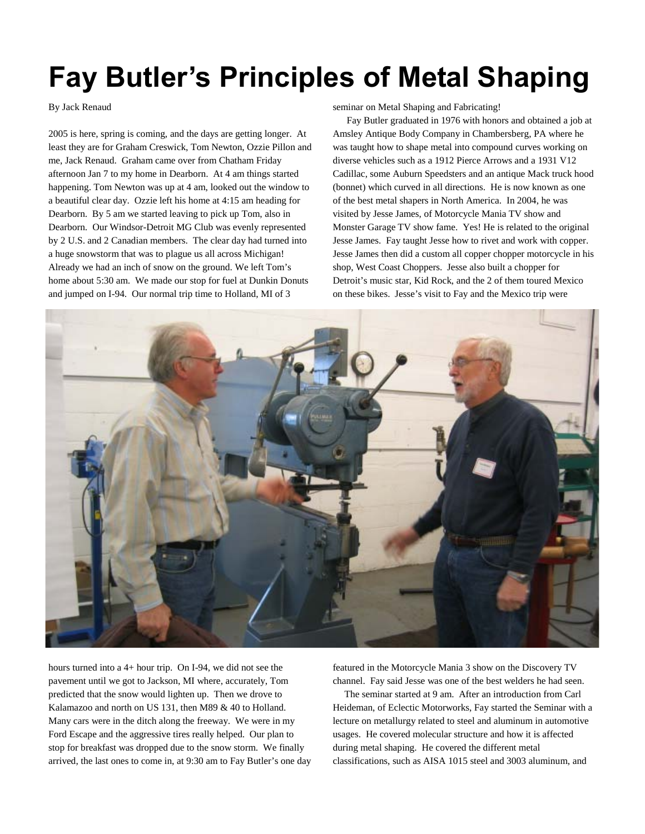## **Fay Butler's Principles of Metal Shaping**

## By Jack Renaud

2005 is here, spring is coming, and the days are getting longer. At least they are for Graham Creswick, Tom Newton, Ozzie Pillon and me, Jack Renaud. Graham came over from Chatham Friday afternoon Jan 7 to my home in Dearborn. At 4 am things started happening. Tom Newton was up at 4 am, looked out the window to a beautiful clear day. Ozzie left his home at 4:15 am heading for Dearborn. By 5 am we started leaving to pick up Tom, also in Dearborn. Our Windsor-Detroit MG Club was evenly represented by 2 U.S. and 2 Canadian members. The clear day had turned into a huge snowstorm that was to plague us all across Michigan! Already we had an inch of snow on the ground. We left Tom's home about 5:30 am. We made our stop for fuel at Dunkin Donuts and jumped on I-94. Our normal trip time to Holland, MI of 3

seminar on Metal Shaping and Fabricating!

 Fay Butler graduated in 1976 with honors and obtained a job at Amsley Antique Body Company in Chambersberg, PA where he was taught how to shape metal into compound curves working on diverse vehicles such as a 1912 Pierce Arrows and a 1931 V12 Cadillac, some Auburn Speedsters and an antique Mack truck hood (bonnet) which curved in all directions. He is now known as one of the best metal shapers in North America. In 2004, he was visited by Jesse James, of Motorcycle Mania TV show and Monster Garage TV show fame. Yes! He is related to the original Jesse James. Fay taught Jesse how to rivet and work with copper. Jesse James then did a custom all copper chopper motorcycle in his shop, West Coast Choppers. Jesse also built a chopper for Detroit's music star, Kid Rock, and the 2 of them toured Mexico on these bikes. Jesse's visit to Fay and the Mexico trip were



hours turned into a 4+ hour trip. On I-94, we did not see the pavement until we got to Jackson, MI where, accurately, Tom predicted that the snow would lighten up. Then we drove to Kalamazoo and north on US 131, then M89 & 40 to Holland. Many cars were in the ditch along the freeway. We were in my Ford Escape and the aggressive tires really helped. Our plan to stop for breakfast was dropped due to the snow storm. We finally arrived, the last ones to come in, at 9:30 am to Fay Butler's one day featured in the Motorcycle Mania 3 show on the Discovery TV channel. Fay said Jesse was one of the best welders he had seen.

The seminar started at 9 am. After an introduction from Carl Heideman, of Eclectic Motorworks, Fay started the Seminar with a lecture on metallurgy related to steel and aluminum in automotive usages. He covered molecular structure and how it is affected during metal shaping. He covered the different metal classifications, such as AISA 1015 steel and 3003 aluminum, and